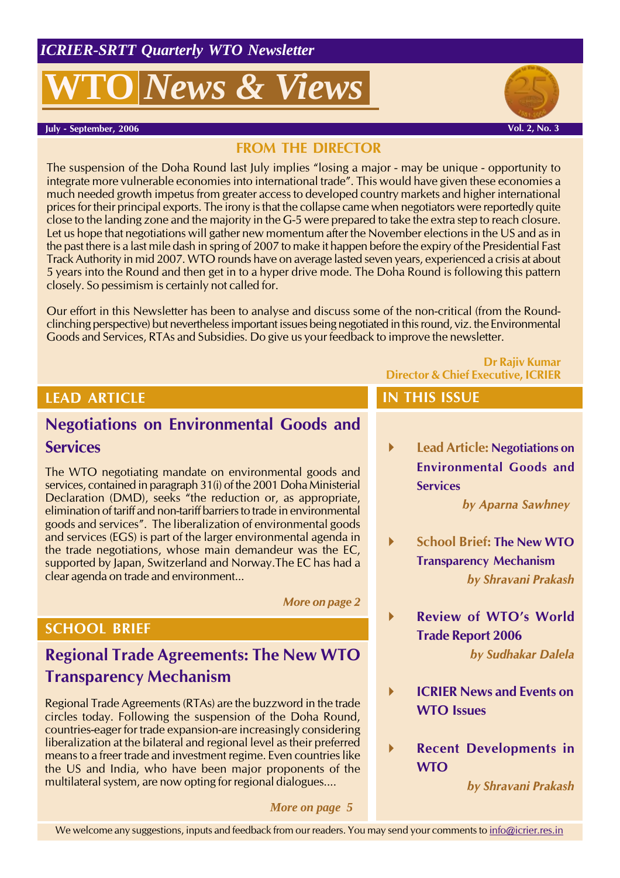# *News & Views*





Vol. 2, No. 3

## FROM THE DIRECTOR

The suspension of the Doha Round last July implies "losing a major - may be unique - opportunity to integrate more vulnerable economies into international trade". This would have given these economies a much needed growth impetus from greater access to developed country markets and higher international prices for their principal exports. The irony is that the collapse came when negotiators were reportedly quite close to the landing zone and the majority in the G-5 were prepared to take the extra step to reach closure. Let us hope that negotiations will gather new momentum after the November elections in the US and as in the past there is a last mile dash in spring of 2007 to make it happen before the expiry of the Presidential Fast Track Authority in mid 2007. WTO rounds have on average lasted seven years, experienced a crisis at about 5 years into the Round and then get in to a hyper drive mode. The Doha Round is following this pattern closely. So pessimism is certainly not called for.

Our effort in this Newsletter has been to analyse and discuss some of the non-critical (from the Roundclinching perspective) but nevertheless important issues being negotiated in this round, viz. the Environmental Goods and Services, RTAs and Subsidies. Do give us your feedback to improve the newsletter.

## LEAD ARTICLE

# Negotiations on Environmental Goods and **Services**

The WTO negotiating mandate on environmental goods and services, contained in paragraph 31(i) of the 2001 Doha Ministerial Declaration (DMD), seeks "the reduction or, as appropriate, elimination of tariff and non-tariff barriers to trade in environmental goods and services". The liberalization of environmental goods and services (EGS) is part of the larger environmental agenda in the trade negotiations, whose main demandeur was the EC, supported by Japan, Switzerland and Norway.The EC has had a clear agenda on trade and environment...

More on page 2

## SCHOOL BRIEF

# Regional Trade Agreements: The New WTO Transparency Mechanism

Regional Trade Agreements (RTAs) are the buzzword in the trade circles today. Following the suspension of the Doha Round, countries-eager for trade expansion-are increasingly considering liberalization at the bilateral and regional level as their preferred means to a freer trade and investment regime. Even countries like the US and India, who have been major proponents of the multilateral system, are now opting for regional dialogues....

*More on page 5*

Director & Chief Executive, ICRIER

### IN THIS ISSUE

 Lead Article: Negotiations on Environmental Goods and **Services** 

by Aparna Sawhney

Dr Rajiv Kumar

- School Brief: The New WTO Transparency Mechanism by Shravani Prakash
- Review of WTO's World Trade Report 2006

by Sudhakar Dalela

- **ICRIFR News and Events on** WTO Issues
	- Recent Developments in WTO

by Shravani Prakash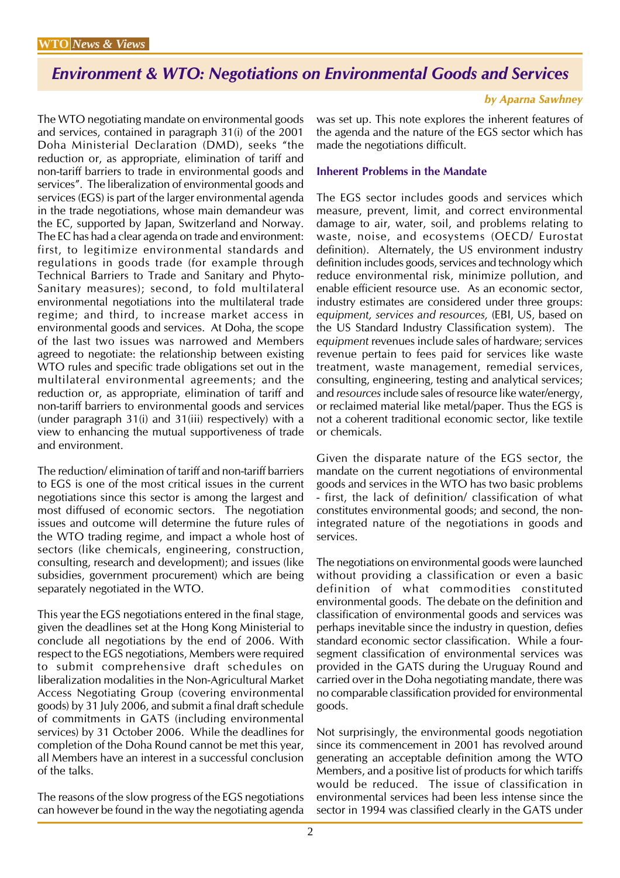# Environment & WTO: Negotiations on Environmental Goods and Services

by Aparna Sawhney

The WTO negotiating mandate on environmental goods and services, contained in paragraph 31(i) of the 2001 Doha Ministerial Declaration (DMD), seeks "the reduction or, as appropriate, elimination of tariff and non-tariff barriers to trade in environmental goods and services". The liberalization of environmental goods and services (EGS) is part of the larger environmental agenda in the trade negotiations, whose main demandeur was the EC, supported by Japan, Switzerland and Norway. The EC has had a clear agenda on trade and environment: first, to legitimize environmental standards and regulations in goods trade (for example through Technical Barriers to Trade and Sanitary and Phyto-Sanitary measures); second, to fold multilateral environmental negotiations into the multilateral trade regime; and third, to increase market access in environmental goods and services. At Doha, the scope of the last two issues was narrowed and Members agreed to negotiate: the relationship between existing WTO rules and specific trade obligations set out in the multilateral environmental agreements; and the reduction or, as appropriate, elimination of tariff and non-tariff barriers to environmental goods and services (under paragraph 31(i) and 31(iii) respectively) with a view to enhancing the mutual supportiveness of trade and environment.

The reduction/ elimination of tariff and non-tariff barriers to EGS is one of the most critical issues in the current negotiations since this sector is among the largest and most diffused of economic sectors. The negotiation issues and outcome will determine the future rules of the WTO trading regime, and impact a whole host of sectors (like chemicals, engineering, construction, consulting, research and development); and issues (like subsidies, government procurement) which are being separately negotiated in the WTO.

This year the EGS negotiations entered in the final stage, given the deadlines set at the Hong Kong Ministerial to conclude all negotiations by the end of 2006. With respect to the EGS negotiations, Members were required to submit comprehensive draft schedules on liberalization modalities in the Non-Agricultural Market Access Negotiating Group (covering environmental goods) by 31 July 2006, and submit a final draft schedule of commitments in GATS (including environmental services) by 31 October 2006. While the deadlines for completion of the Doha Round cannot be met this year, all Members have an interest in a successful conclusion of the talks.

The reasons of the slow progress of the EGS negotiations can however be found in the way the negotiating agenda was set up. This note explores the inherent features of the agenda and the nature of the EGS sector which has made the negotiations difficult.

#### Inherent Problems in the Mandate

The EGS sector includes goods and services which measure, prevent, limit, and correct environmental damage to air, water, soil, and problems relating to waste, noise, and ecosystems (OECD/ Eurostat definition). Alternately, the US environment industry definition includes goods, services and technology which reduce environmental risk, minimize pollution, and enable efficient resource use. As an economic sector, industry estimates are considered under three groups: equipment, services and resources, (EBI, US, based on the US Standard Industry Classification system). The equipment revenues include sales of hardware; services revenue pertain to fees paid for services like waste treatment, waste management, remedial services, consulting, engineering, testing and analytical services; and resources include sales of resource like water/energy, or reclaimed material like metal/paper. Thus the EGS is not a coherent traditional economic sector, like textile or chemicals.

Given the disparate nature of the EGS sector, the mandate on the current negotiations of environmental goods and services in the WTO has two basic problems - first, the lack of definition/ classification of what constitutes environmental goods; and second, the nonintegrated nature of the negotiations in goods and services.

The negotiations on environmental goods were launched without providing a classification or even a basic definition of what commodities constituted environmental goods. The debate on the definition and classification of environmental goods and services was perhaps inevitable since the industry in question, defies standard economic sector classification. While a foursegment classification of environmental services was provided in the GATS during the Uruguay Round and carried over in the Doha negotiating mandate, there was no comparable classification provided for environmental goods.

Not surprisingly, the environmental goods negotiation since its commencement in 2001 has revolved around generating an acceptable definition among the WTO Members, and a positive list of products for which tariffs would be reduced. The issue of classification in environmental services had been less intense since the sector in 1994 was classified clearly in the GATS under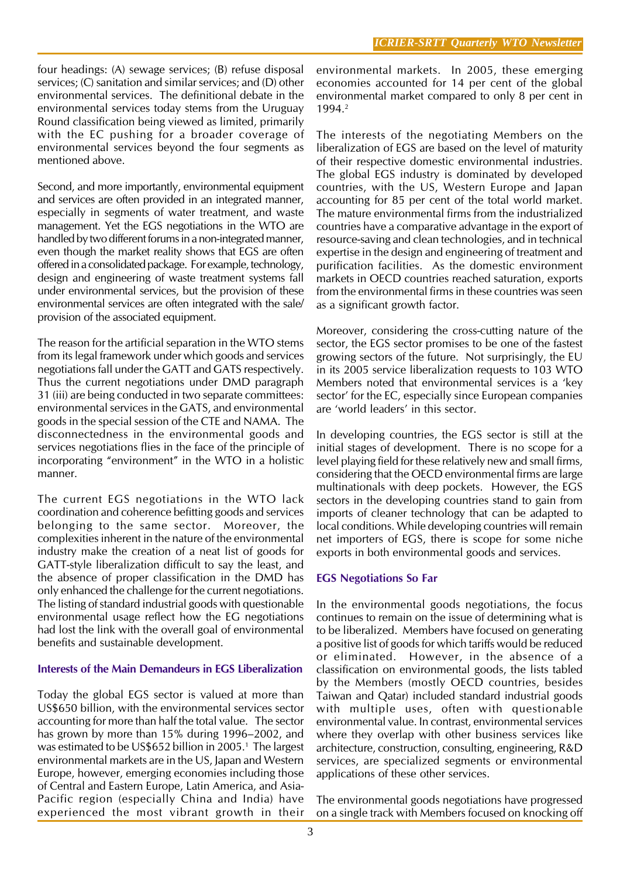four headings: (A) sewage services; (B) refuse disposal services; (C) sanitation and similar services; and (D) other environmental services. The definitional debate in the environmental services today stems from the Uruguay Round classification being viewed as limited, primarily with the EC pushing for a broader coverage of environmental services beyond the four segments as mentioned above.

Second, and more importantly, environmental equipment and services are often provided in an integrated manner, especially in segments of water treatment, and waste management. Yet the EGS negotiations in the WTO are handled by two different forums in a non-integrated manner, even though the market reality shows that EGS are often offered in a consolidated package. For example, technology, design and engineering of waste treatment systems fall under environmental services, but the provision of these environmental services are often integrated with the sale/ provision of the associated equipment.

The reason for the artificial separation in the WTO stems from its legal framework under which goods and services negotiations fall under the GATT and GATS respectively. Thus the current negotiations under DMD paragraph 31 (iii) are being conducted in two separate committees: environmental services in the GATS, and environmental goods in the special session of the CTE and NAMA. The disconnectedness in the environmental goods and services negotiations flies in the face of the principle of incorporating "environment" in the WTO in a holistic manner.

The current EGS negotiations in the WTO lack coordination and coherence befitting goods and services belonging to the same sector. Moreover, the complexities inherent in the nature of the environmental industry make the creation of a neat list of goods for GATT-style liberalization difficult to say the least, and the absence of proper classification in the DMD has only enhanced the challenge for the current negotiations. The listing of standard industrial goods with questionable environmental usage reflect how the EG negotiations had lost the link with the overall goal of environmental benefits and sustainable development.

#### Interests of the Main Demandeurs in EGS Liberalization

Today the global EGS sector is valued at more than US\$650 billion, with the environmental services sector accounting for more than half the total value. The sector has grown by more than 15% during 1996–2002, and was estimated to be US\$652 billion in 2005.<sup>1</sup> The largest environmental markets are in the US, Japan and Western Europe, however, emerging economies including those of Central and Eastern Europe, Latin America, and Asia-Pacific region (especially China and India) have experienced the most vibrant growth in their

environmental markets. In 2005, these emerging economies accounted for 14 per cent of the global environmental market compared to only 8 per cent in 1994.<sup>2</sup>

The interests of the negotiating Members on the liberalization of EGS are based on the level of maturity of their respective domestic environmental industries. The global EGS industry is dominated by developed countries, with the US, Western Europe and Japan accounting for 85 per cent of the total world market. The mature environmental firms from the industrialized countries have a comparative advantage in the export of resource-saving and clean technologies, and in technical expertise in the design and engineering of treatment and purification facilities. As the domestic environment markets in OECD countries reached saturation, exports from the environmental firms in these countries was seen as a significant growth factor.

Moreover, considering the cross-cutting nature of the sector, the EGS sector promises to be one of the fastest growing sectors of the future. Not surprisingly, the EU in its 2005 service liberalization requests to 103 WTO Members noted that environmental services is a 'key sector' for the EC, especially since European companies are 'world leaders' in this sector.

In developing countries, the EGS sector is still at the initial stages of development. There is no scope for a level playing field for these relatively new and small firms, considering that the OECD environmental firms are large multinationals with deep pockets. However, the EGS sectors in the developing countries stand to gain from imports of cleaner technology that can be adapted to local conditions. While developing countries will remain net importers of EGS, there is scope for some niche exports in both environmental goods and services.

#### EGS Negotiations So Far

In the environmental goods negotiations, the focus continues to remain on the issue of determining what is to be liberalized. Members have focused on generating a positive list of goods for which tariffs would be reduced or eliminated. However, in the absence of a classification on environmental goods, the lists tabled by the Members (mostly OECD countries, besides Taiwan and Qatar) included standard industrial goods with multiple uses, often with questionable environmental value. In contrast, environmental services where they overlap with other business services like architecture, construction, consulting, engineering, R&D services, are specialized segments or environmental applications of these other services.

The environmental goods negotiations have progressed on a single track with Members focused on knocking off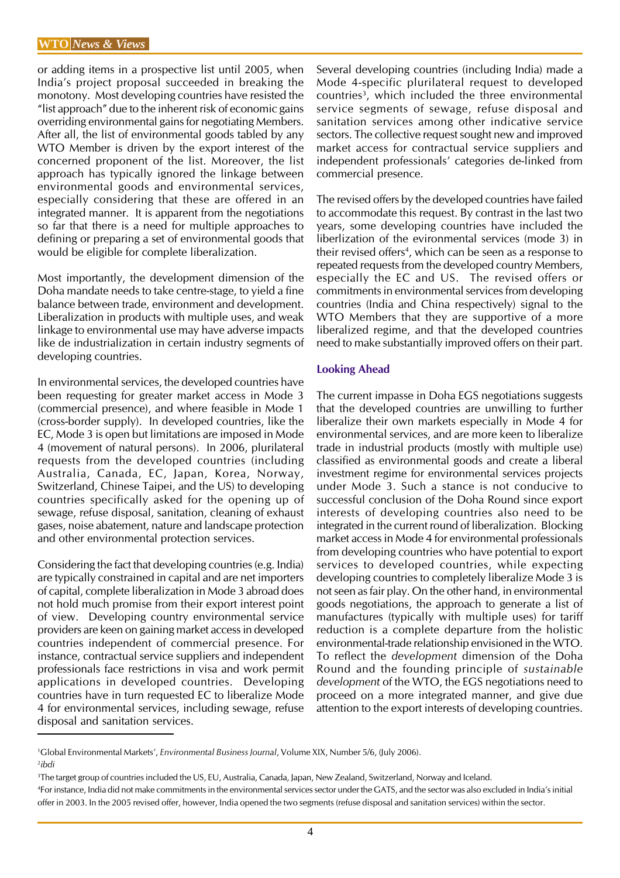or adding items in a prospective list until 2005, when India's project proposal succeeded in breaking the monotony. Most developing countries have resisted the "list approach" due to the inherent risk of economic gains overriding environmental gains for negotiating Members. After all, the list of environmental goods tabled by any WTO Member is driven by the export interest of the concerned proponent of the list. Moreover, the list approach has typically ignored the linkage between environmental goods and environmental services, especially considering that these are offered in an integrated manner. It is apparent from the negotiations so far that there is a need for multiple approaches to defining or preparing a set of environmental goods that would be eligible for complete liberalization.

Most importantly, the development dimension of the Doha mandate needs to take centre-stage, to yield a fine balance between trade, environment and development. Liberalization in products with multiple uses, and weak linkage to environmental use may have adverse impacts like de industrialization in certain industry segments of developing countries.

In environmental services, the developed countries have been requesting for greater market access in Mode 3 (commercial presence), and where feasible in Mode 1 (cross-border supply). In developed countries, like the EC, Mode 3 is open but limitations are imposed in Mode 4 (movement of natural persons). In 2006, plurilateral requests from the developed countries (including Australia, Canada, EC, Japan, Korea, Norway, Switzerland, Chinese Taipei, and the US) to developing countries specifically asked for the opening up of sewage, refuse disposal, sanitation, cleaning of exhaust gases, noise abatement, nature and landscape protection and other environmental protection services.

Considering the fact that developing countries (e.g. India) are typically constrained in capital and are net importers of capital, complete liberalization in Mode 3 abroad does not hold much promise from their export interest point of view. Developing country environmental service providers are keen on gaining market access in developed countries independent of commercial presence. For instance, contractual service suppliers and independent professionals face restrictions in visa and work permit applications in developed countries. Developing countries have in turn requested EC to liberalize Mode 4 for environmental services, including sewage, refuse disposal and sanitation services.

Several developing countries (including India) made a Mode 4-specific plurilateral request to developed countries<sup>3</sup>, which included the three environmental service segments of sewage, refuse disposal and sanitation services among other indicative service sectors. The collective request sought new and improved market access for contractual service suppliers and independent professionals' categories de-linked from commercial presence.

The revised offers by the developed countries have failed to accommodate this request. By contrast in the last two years, some developing countries have included the liberlization of the evironmental services (mode 3) in their revised offers<sup>4</sup>, which can be seen as a response to repeated requests from the developed country Members, especially the EC and US. The revised offers or commitments in environmental services from developing countries (India and China respectively) signal to the WTO Members that they are supportive of a more liberalized regime, and that the developed countries need to make substantially improved offers on their part.

#### Looking Ahead

The current impasse in Doha EGS negotiations suggests that the developed countries are unwilling to further liberalize their own markets especially in Mode 4 for environmental services, and are more keen to liberalize trade in industrial products (mostly with multiple use) classified as environmental goods and create a liberal investment regime for environmental services projects under Mode 3. Such a stance is not conducive to successful conclusion of the Doha Round since export interests of developing countries also need to be integrated in the current round of liberalization. Blocking market access in Mode 4 for environmental professionals from developing countries who have potential to export services to developed countries, while expecting developing countries to completely liberalize Mode 3 is not seen as fair play. On the other hand, in environmental goods negotiations, the approach to generate a list of manufactures (typically with multiple uses) for tariff reduction is a complete departure from the holistic environmental-trade relationship envisioned in the WTO. To reflect the development dimension of the Doha Round and the founding principle of sustainable development of the WTO, the EGS negotiations need to proceed on a more integrated manner, and give due attention to the export interests of developing countries.

<sup>1</sup>Global Environmental Markets', Environmental Business Journal, Volume XIX, Number 5/6, (July 2006). 2 ibdi

<sup>3</sup> The target group of countries included the US, EU, Australia, Canada, Japan, New Zealand, Switzerland, Norway and Iceland.

<sup>4</sup> For instance, India did not make commitments in the environmental services sector under the GATS, and the sector was also excluded in India's initial offer in 2003. In the 2005 revised offer, however, India opened the two segments (refuse disposal and sanitation services) within the sector.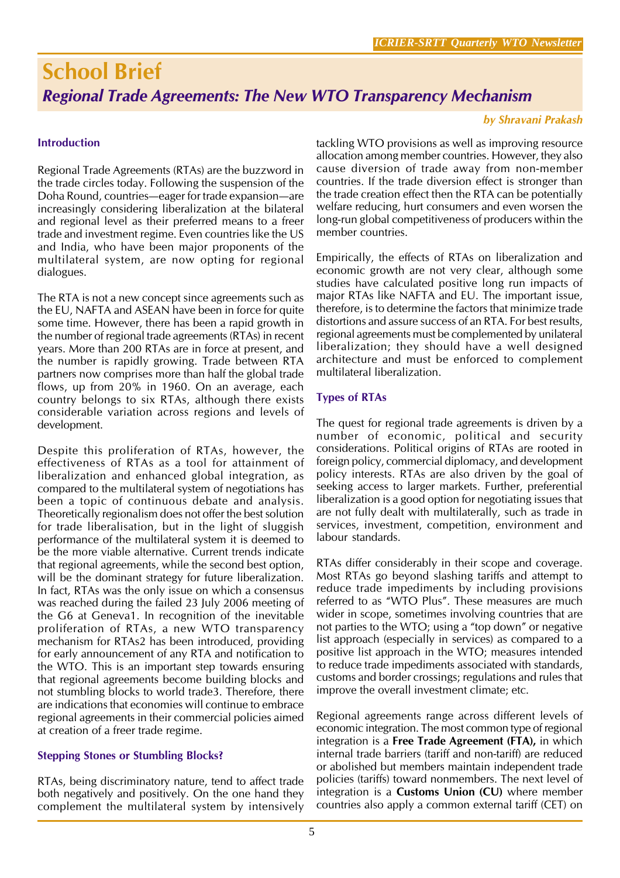# School Brief Regional Trade Agreements: The New WTO Transparency Mechanism

#### by Shravani Prakash

#### **Introduction**

Regional Trade Agreements (RTAs) are the buzzword in the trade circles today. Following the suspension of the Doha Round, countries—eager for trade expansion—are increasingly considering liberalization at the bilateral and regional level as their preferred means to a freer trade and investment regime. Even countries like the US and India, who have been major proponents of the multilateral system, are now opting for regional dialogues.

The RTA is not a new concept since agreements such as the EU, NAFTA and ASEAN have been in force for quite some time. However, there has been a rapid growth in the number of regional trade agreements (RTAs) in recent years. More than 200 RTAs are in force at present, and the number is rapidly growing. Trade between RTA partners now comprises more than half the global trade flows, up from 20% in 1960. On an average, each country belongs to six RTAs, although there exists considerable variation across regions and levels of development.

Despite this proliferation of RTAs, however, the effectiveness of RTAs as a tool for attainment of liberalization and enhanced global integration, as compared to the multilateral system of negotiations has been a topic of continuous debate and analysis. Theoretically regionalism does not offer the best solution for trade liberalisation, but in the light of sluggish performance of the multilateral system it is deemed to be the more viable alternative. Current trends indicate that regional agreements, while the second best option, will be the dominant strategy for future liberalization. In fact, RTAs was the only issue on which a consensus was reached during the failed 23 July 2006 meeting of the G6 at Geneva1. In recognition of the inevitable proliferation of RTAs, a new WTO transparency mechanism for RTAs2 has been introduced, providing for early announcement of any RTA and notification to the WTO. This is an important step towards ensuring that regional agreements become building blocks and not stumbling blocks to world trade3. Therefore, there are indications that economies will continue to embrace regional agreements in their commercial policies aimed at creation of a freer trade regime.

#### Stepping Stones or Stumbling Blocks?

RTAs, being discriminatory nature, tend to affect trade both negatively and positively. On the one hand they complement the multilateral system by intensively

tackling WTO provisions as well as improving resource allocation among member countries. However, they also cause diversion of trade away from non-member countries. If the trade diversion effect is stronger than the trade creation effect then the RTA can be potentially welfare reducing, hurt consumers and even worsen the long-run global competitiveness of producers within the member countries.

Empirically, the effects of RTAs on liberalization and economic growth are not very clear, although some studies have calculated positive long run impacts of major RTAs like NAFTA and EU. The important issue, therefore, is to determine the factors that minimize trade distortions and assure success of an RTA. For best results, regional agreements must be complemented by unilateral liberalization; they should have a well designed architecture and must be enforced to complement multilateral liberalization.

#### Types of RTAs

The quest for regional trade agreements is driven by a number of economic, political and security considerations. Political origins of RTAs are rooted in foreign policy, commercial diplomacy, and development policy interests. RTAs are also driven by the goal of seeking access to larger markets. Further, preferential liberalization is a good option for negotiating issues that are not fully dealt with multilaterally, such as trade in services, investment, competition, environment and labour standards.

RTAs differ considerably in their scope and coverage. Most RTAs go beyond slashing tariffs and attempt to reduce trade impediments by including provisions referred to as "WTO Plus". These measures are much wider in scope, sometimes involving countries that are not parties to the WTO; using a "top down" or negative list approach (especially in services) as compared to a positive list approach in the WTO; measures intended to reduce trade impediments associated with standards, customs and border crossings; regulations and rules that improve the overall investment climate; etc.

Regional agreements range across different levels of economic integration. The most common type of regional integration is a Free Trade Agreement (FTA), in which internal trade barriers (tariff and non-tariff) are reduced or abolished but members maintain independent trade policies (tariffs) toward nonmembers. The next level of integration is a Customs Union (CU) where member countries also apply a common external tariff (CET) on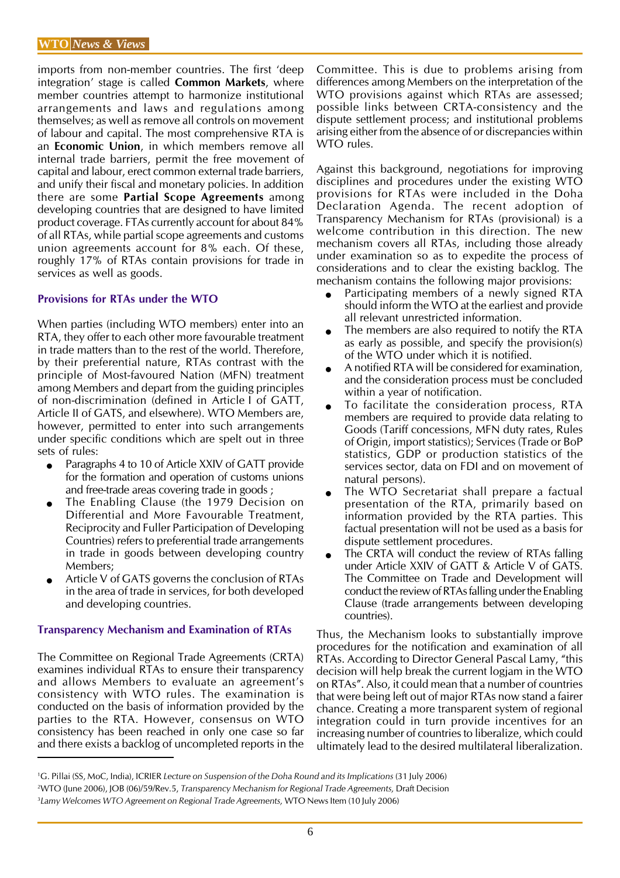imports from non-member countries. The first 'deep integration' stage is called **Common Markets**, where member countries attempt to harmonize institutional arrangements and laws and regulations among themselves; as well as remove all controls on movement of labour and capital. The most comprehensive RTA is an Economic Union, in which members remove all internal trade barriers, permit the free movement of capital and labour, erect common external trade barriers, and unify their fiscal and monetary policies. In addition there are some Partial Scope Agreements among developing countries that are designed to have limited product coverage. FTAs currently account for about 84% of all RTAs, while partial scope agreements and customs union agreements account for 8% each. Of these, roughly 17% of RTAs contain provisions for trade in services as well as goods.

#### Provisions for RTAs under the WTO

When parties (including WTO members) enter into an RTA, they offer to each other more favourable treatment in trade matters than to the rest of the world. Therefore, by their preferential nature, RTAs contrast with the principle of Most-favoured Nation (MFN) treatment among Members and depart from the guiding principles of non-discrimination (defined in Article I of GATT, Article II of GATS, and elsewhere). WTO Members are, however, permitted to enter into such arrangements under specific conditions which are spelt out in three sets of rules:

- Paragraphs 4 to 10 of Article XXIV of GATT provide for the formation and operation of customs unions and free-trade areas covering trade in goods ;
- The Enabling Clause (the 1979 Decision on Differential and More Favourable Treatment, Reciprocity and Fuller Participation of Developing Countries) refers to preferential trade arrangements in trade in goods between developing country Members;
- Article V of GATS governs the conclusion of RTAs in the area of trade in services, for both developed and developing countries.

#### Transparency Mechanism and Examination of RTAs

The Committee on Regional Trade Agreements (CRTA) examines individual RTAs to ensure their transparency and allows Members to evaluate an agreement's consistency with WTO rules. The examination is conducted on the basis of information provided by the parties to the RTA. However, consensus on WTO consistency has been reached in only one case so far and there exists a backlog of uncompleted reports in the

Committee. This is due to problems arising from differences among Members on the interpretation of the WTO provisions against which RTAs are assessed; possible links between CRTA-consistency and the dispute settlement process; and institutional problems arising either from the absence of or discrepancies within WTO rules.

Against this background, negotiations for improving disciplines and procedures under the existing WTO provisions for RTAs were included in the Doha Declaration Agenda. The recent adoption of Transparency Mechanism for RTAs (provisional) is a welcome contribution in this direction. The new mechanism covers all RTAs, including those already under examination so as to expedite the process of considerations and to clear the existing backlog. The mechanism contains the following major provisions:

- Participating members of a newly signed RTA should inform the WTO at the earliest and provide all relevant unrestricted information.
- The members are also required to notify the RTA as early as possible, and specify the provision(s) of the WTO under which it is notified.
- A notified RTA will be considered for examination, and the consideration process must be concluded within a year of notification.
- To facilitate the consideration process, RTA members are required to provide data relating to Goods (Tariff concessions, MFN duty rates, Rules of Origin, import statistics); Services (Trade or BoP statistics, GDP or production statistics of the services sector, data on FDI and on movement of natural persons).
- The WTO Secretariat shall prepare a factual presentation of the RTA, primarily based on information provided by the RTA parties. This factual presentation will not be used as a basis for dispute settlement procedures.
- The CRTA will conduct the review of RTAs falling under Article XXIV of GATT & Article V of GATS. The Committee on Trade and Development will conduct the review of RTAs falling under the Enabling Clause (trade arrangements between developing countries).

Thus, the Mechanism looks to substantially improve procedures for the notification and examination of all RTAs. According to Director General Pascal Lamy, "this decision will help break the current logjam in the WTO on RTAs". Also, it could mean that a number of countries that were being left out of major RTAs now stand a fairer chance. Creating a more transparent system of regional integration could in turn provide incentives for an increasing number of countries to liberalize, which could ultimately lead to the desired multilateral liberalization.

<sup>1</sup>G. Pillai (SS, MoC, India), ICRIER Lecture on Suspension of the Doha Round and its Implications (31 July 2006) <sup>2</sup>WTO (June 2006), JOB (06)/59/Rev.5, Transparency Mechanism for Regional Trade Agreements, Draft Decision <sup>3</sup>Lamy Welcomes WTO Agreement on Regional Trade Agreements, WTO News Item (10 July 2006)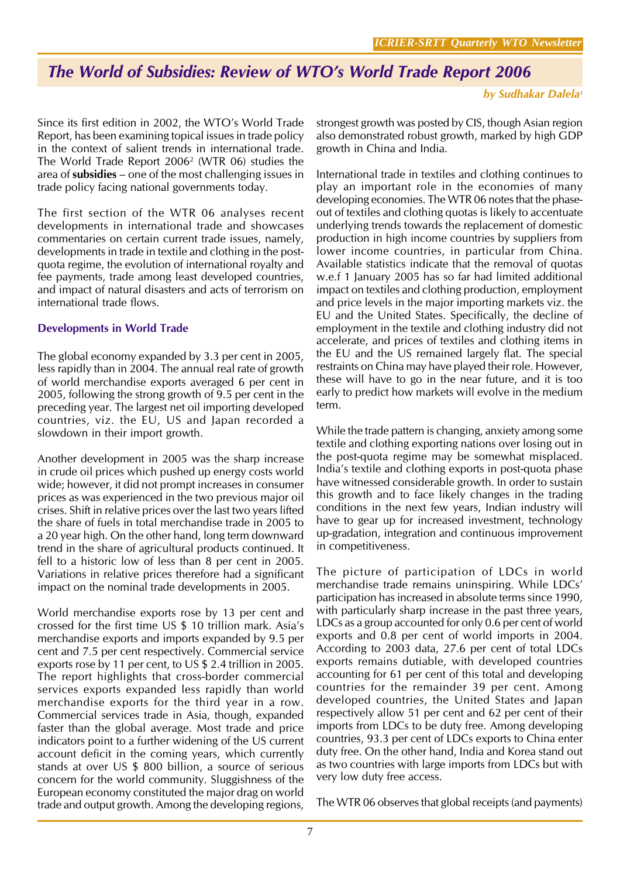# The World of Subsidies: Review of WTO's World Trade Report 2006

#### by Sudhakar Dalela<sup>1</sup>

Since its first edition in 2002, the WTO's World Trade Report, has been examining topical issues in trade policy in the context of salient trends in international trade. The World Trade Report 2006<sup>2</sup> (WTR 06) studies the area of subsidies – one of the most challenging issues in trade policy facing national governments today.

The first section of the WTR 06 analyses recent developments in international trade and showcases commentaries on certain current trade issues, namely, developments in trade in textile and clothing in the postquota regime, the evolution of international royalty and fee payments, trade among least developed countries, and impact of natural disasters and acts of terrorism on international trade flows.

#### Developments in World Trade

The global economy expanded by 3.3 per cent in 2005, less rapidly than in 2004. The annual real rate of growth of world merchandise exports averaged 6 per cent in 2005, following the strong growth of 9.5 per cent in the preceding year. The largest net oil importing developed countries, viz. the EU, US and Japan recorded a slowdown in their import growth.

Another development in 2005 was the sharp increase in crude oil prices which pushed up energy costs world wide; however, it did not prompt increases in consumer prices as was experienced in the two previous major oil crises. Shift in relative prices over the last two years lifted the share of fuels in total merchandise trade in 2005 to a 20 year high. On the other hand, long term downward trend in the share of agricultural products continued. It fell to a historic low of less than 8 per cent in 2005. Variations in relative prices therefore had a significant impact on the nominal trade developments in 2005.

World merchandise exports rose by 13 per cent and crossed for the first time US \$ 10 trillion mark. Asia's merchandise exports and imports expanded by 9.5 per cent and 7.5 per cent respectively. Commercial service exports rose by 11 per cent, to US \$ 2.4 trillion in 2005. The report highlights that cross-border commercial services exports expanded less rapidly than world merchandise exports for the third year in a row. Commercial services trade in Asia, though, expanded faster than the global average. Most trade and price indicators point to a further widening of the US current account deficit in the coming years, which currently stands at over US \$ 800 billion, a source of serious concern for the world community. Sluggishness of the European economy constituted the major drag on world trade and output growth. Among the developing regions,

strongest growth was posted by CIS, though Asian region also demonstrated robust growth, marked by high GDP growth in China and India.

International trade in textiles and clothing continues to play an important role in the economies of many developing economies. The WTR 06 notes that the phaseout of textiles and clothing quotas is likely to accentuate underlying trends towards the replacement of domestic production in high income countries by suppliers from lower income countries, in particular from China. Available statistics indicate that the removal of quotas w.e.f 1 January 2005 has so far had limited additional impact on textiles and clothing production, employment and price levels in the major importing markets viz. the EU and the United States. Specifically, the decline of employment in the textile and clothing industry did not accelerate, and prices of textiles and clothing items in the EU and the US remained largely flat. The special restraints on China may have played their role. However, these will have to go in the near future, and it is too early to predict how markets will evolve in the medium term.

While the trade pattern is changing, anxiety among some textile and clothing exporting nations over losing out in the post-quota regime may be somewhat misplaced. India's textile and clothing exports in post-quota phase have witnessed considerable growth. In order to sustain this growth and to face likely changes in the trading conditions in the next few years, Indian industry will have to gear up for increased investment, technology up-gradation, integration and continuous improvement in competitiveness.

The picture of participation of LDCs in world merchandise trade remains uninspiring. While LDCs' participation has increased in absolute terms since 1990, with particularly sharp increase in the past three years, LDCs as a group accounted for only 0.6 per cent of world exports and 0.8 per cent of world imports in 2004. According to 2003 data, 27.6 per cent of total LDCs exports remains dutiable, with developed countries accounting for 61 per cent of this total and developing countries for the remainder 39 per cent. Among developed countries, the United States and Japan respectively allow 51 per cent and 62 per cent of their imports from LDCs to be duty free. Among developing countries, 93.3 per cent of LDCs exports to China enter duty free. On the other hand, India and Korea stand out as two countries with large imports from LDCs but with very low duty free access.

The WTR 06 observes that global receipts (and payments)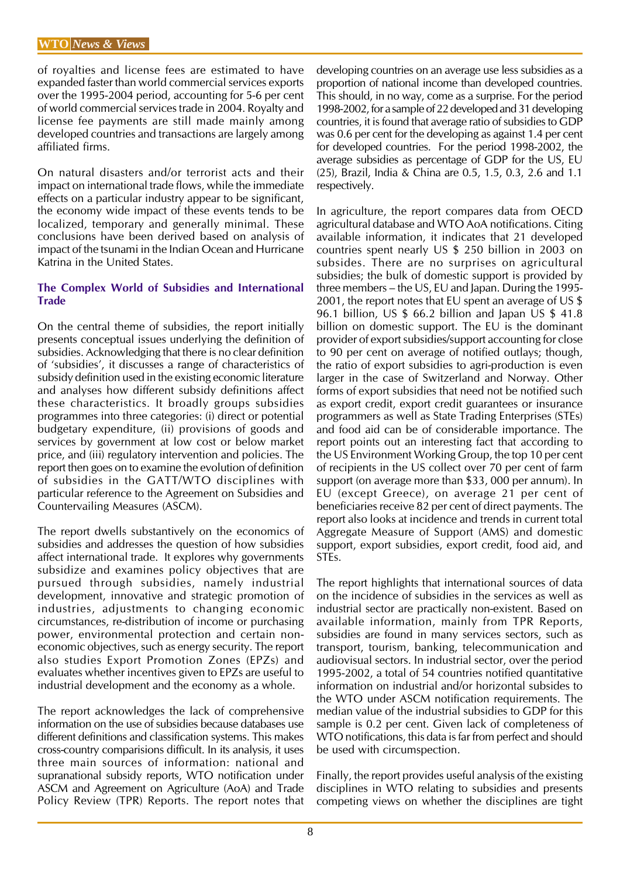of royalties and license fees are estimated to have expanded faster than world commercial services exports over the 1995-2004 period, accounting for 5-6 per cent of world commercial services trade in 2004. Royalty and license fee payments are still made mainly among developed countries and transactions are largely among affiliated firms.

On natural disasters and/or terrorist acts and their impact on international trade flows, while the immediate effects on a particular industry appear to be significant, the economy wide impact of these events tends to be localized, temporary and generally minimal. These conclusions have been derived based on analysis of impact of the tsunami in the Indian Ocean and Hurricane Katrina in the United States.

#### The Complex World of Subsidies and International **Trade**

On the central theme of subsidies, the report initially presents conceptual issues underlying the definition of subsidies. Acknowledging that there is no clear definition of 'subsidies', it discusses a range of characteristics of subsidy definition used in the existing economic literature and analyses how different subsidy definitions affect these characteristics. It broadly groups subsidies programmes into three categories: (i) direct or potential budgetary expenditure, (ii) provisions of goods and services by government at low cost or below market price, and (iii) regulatory intervention and policies. The report then goes on to examine the evolution of definition of subsidies in the GATT/WTO disciplines with particular reference to the Agreement on Subsidies and Countervailing Measures (ASCM).

The report dwells substantively on the economics of subsidies and addresses the question of how subsidies affect international trade. It explores why governments subsidize and examines policy objectives that are pursued through subsidies, namely industrial development, innovative and strategic promotion of industries, adjustments to changing economic circumstances, re-distribution of income or purchasing power, environmental protection and certain noneconomic objectives, such as energy security. The report also studies Export Promotion Zones (EPZs) and evaluates whether incentives given to EPZs are useful to industrial development and the economy as a whole.

The report acknowledges the lack of comprehensive information on the use of subsidies because databases use different definitions and classification systems. This makes cross-country comparisions difficult. In its analysis, it uses three main sources of information: national and supranational subsidy reports, WTO notification under ASCM and Agreement on Agriculture (AoA) and Trade Policy Review (TPR) Reports. The report notes that developing countries on an average use less subsidies as a proportion of national income than developed countries. This should, in no way, come as a surprise. For the period 1998-2002, for a sample of 22 developed and 31 developing countries, it is found that average ratio of subsidies to GDP was 0.6 per cent for the developing as against 1.4 per cent for developed countries. For the period 1998-2002, the average subsidies as percentage of GDP for the US, EU (25), Brazil, India & China are 0.5, 1.5, 0.3, 2.6 and 1.1 respectively.

In agriculture, the report compares data from OECD agricultural database and WTO AoA notifications. Citing available information, it indicates that 21 developed countries spent nearly US \$ 250 billion in 2003 on subsides. There are no surprises on agricultural subsidies; the bulk of domestic support is provided by three members – the US, EU and Japan. During the 1995- 2001, the report notes that EU spent an average of US \$ 96.1 billion, US \$ 66.2 billion and Japan US \$ 41.8 billion on domestic support. The EU is the dominant provider of export subsidies/support accounting for close to 90 per cent on average of notified outlays; though, the ratio of export subsidies to agri-production is even larger in the case of Switzerland and Norway. Other forms of export subsidies that need not be notified such as export credit, export credit guarantees or insurance programmers as well as State Trading Enterprises (STEs) and food aid can be of considerable importance. The report points out an interesting fact that according to the US Environment Working Group, the top 10 per cent of recipients in the US collect over 70 per cent of farm support (on average more than \$33, 000 per annum). In EU (except Greece), on average 21 per cent of beneficiaries receive 82 per cent of direct payments. The report also looks at incidence and trends in current total Aggregate Measure of Support (AMS) and domestic support, export subsidies, export credit, food aid, and STEs.

The report highlights that international sources of data on the incidence of subsidies in the services as well as industrial sector are practically non-existent. Based on available information, mainly from TPR Reports, subsidies are found in many services sectors, such as transport, tourism, banking, telecommunication and audiovisual sectors. In industrial sector, over the period 1995-2002, a total of 54 countries notified quantitative information on industrial and/or horizontal subsides to the WTO under ASCM notification requirements. The median value of the industrial subsidies to GDP for this sample is 0.2 per cent. Given lack of completeness of WTO notifications, this data is far from perfect and should be used with circumspection.

Finally, the report provides useful analysis of the existing disciplines in WTO relating to subsidies and presents competing views on whether the disciplines are tight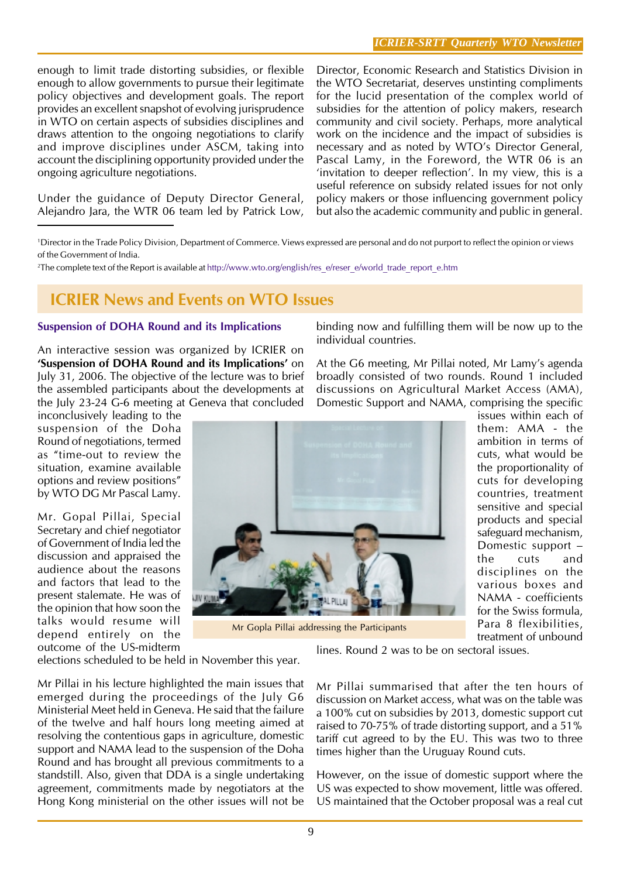enough to limit trade distorting subsidies, or flexible enough to allow governments to pursue their legitimate policy objectives and development goals. The report provides an excellent snapshot of evolving jurisprudence in WTO on certain aspects of subsidies disciplines and draws attention to the ongoing negotiations to clarify and improve disciplines under ASCM, taking into account the disciplining opportunity provided under the ongoing agriculture negotiations.

Under the guidance of Deputy Director General, Alejandro Jara, the WTR 06 team led by Patrick Low, Director, Economic Research and Statistics Division in the WTO Secretariat, deserves unstinting compliments for the lucid presentation of the complex world of subsidies for the attention of policy makers, research community and civil society. Perhaps, more analytical work on the incidence and the impact of subsidies is necessary and as noted by WTO's Director General, Pascal Lamy, in the Foreword, the WTR 06 is an 'invitation to deeper reflection'. In my view, this is a useful reference on subsidy related issues for not only policy makers or those influencing government policy but also the academic community and public in general.

1 Director in the Trade Policy Division, Department of Commerce. Views expressed are personal and do not purport to reflect the opinion or views of the Government of India.

2 The complete text of the Report is available at http://www.wto.org/english/res\_e/reser\_e/world\_trade\_report\_e.htm

## ICRIER News and Events on WTO Issues

#### Suspension of DOHA Round and its Implications

An interactive session was organized by ICRIER on 'Suspension of DOHA Round and its Implications' on July 31, 2006. The objective of the lecture was to brief the assembled participants about the developments at the July 23-24 G-6 meeting at Geneva that concluded

inconclusively leading to the suspension of the Doha Round of negotiations, termed as "time-out to review the situation, examine available options and review positions" by WTO DG Mr Pascal Lamy.

Mr. Gopal Pillai, Special Secretary and chief negotiator of Government of India led the discussion and appraised the audience about the reasons and factors that lead to the present stalemate. He was of the opinion that how soon the talks would resume will depend entirely on the outcome of the US-midterm

elections scheduled to be held in November this year.

Mr Pillai in his lecture highlighted the main issues that emerged during the proceedings of the July G6 Ministerial Meet held in Geneva. He said that the failure of the twelve and half hours long meeting aimed at resolving the contentious gaps in agriculture, domestic support and NAMA lead to the suspension of the Doha Round and has brought all previous commitments to a standstill. Also, given that DDA is a single undertaking agreement, commitments made by negotiators at the Hong Kong ministerial on the other issues will not be binding now and fulfilling them will be now up to the individual countries.

At the G6 meeting, Mr Pillai noted, Mr Lamy's agenda broadly consisted of two rounds. Round 1 included discussions on Agricultural Market Access (AMA), Domestic Support and NAMA, comprising the specific



Mr Gopla Pillai addressing the Participants

issues within each of them: AMA - the ambition in terms of cuts, what would be the proportionality of cuts for developing countries, treatment sensitive and special products and special safeguard mechanism, Domestic support – the cuts and disciplines on the various boxes and NAMA - coefficients for the Swiss formula, Para 8 flexibilities, treatment of unbound

lines. Round 2 was to be on sectoral issues.

Mr Pillai summarised that after the ten hours of discussion on Market access, what was on the table was a 100% cut on subsidies by 2013, domestic support cut raised to 70-75% of trade distorting support, and a 51% tariff cut agreed to by the EU. This was two to three times higher than the Uruguay Round cuts.

However, on the issue of domestic support where the US was expected to show movement, little was offered. US maintained that the October proposal was a real cut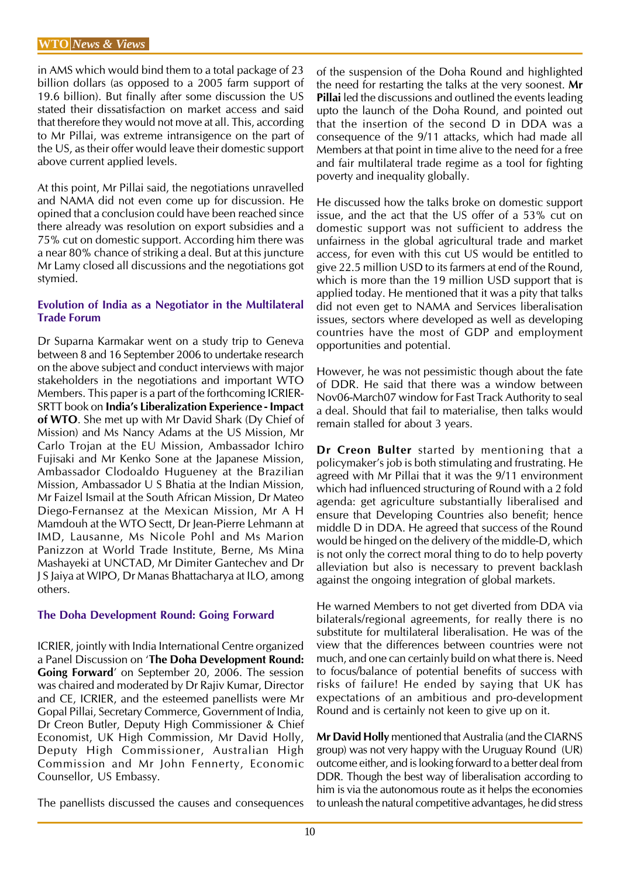in AMS which would bind them to a total package of 23 billion dollars (as opposed to a 2005 farm support of 19.6 billion). But finally after some discussion the US stated their dissatisfaction on market access and said that therefore they would not move at all. This, according to Mr Pillai, was extreme intransigence on the part of the US, as their offer would leave their domestic support above current applied levels.

At this point, Mr Pillai said, the negotiations unravelled and NAMA did not even come up for discussion. He opined that a conclusion could have been reached since there already was resolution on export subsidies and a 75% cut on domestic support. According him there was a near 80% chance of striking a deal. But at this juncture Mr Lamy closed all discussions and the negotiations got stymied.

#### Evolution of India as a Negotiator in the Multilateral Trade Forum

Dr Suparna Karmakar went on a study trip to Geneva between 8 and 16 September 2006 to undertake research on the above subject and conduct interviews with major stakeholders in the negotiations and important WTO Members. This paper is a part of the forthcoming ICRIER-SRTT book on India's Liberalization Experience - Impact of WTO. She met up with Mr David Shark (Dy Chief of Mission) and Ms Nancy Adams at the US Mission, Mr Carlo Trojan at the EU Mission, Ambassador Ichiro Fujisaki and Mr Kenko Sone at the Japanese Mission, Ambassador Clodoaldo Hugueney at the Brazilian Mission, Ambassador U S Bhatia at the Indian Mission, Mr Faizel Ismail at the South African Mission, Dr Mateo Diego-Fernansez at the Mexican Mission, Mr A H Mamdouh at the WTO Sectt, Dr Jean-Pierre Lehmann at IMD, Lausanne, Ms Nicole Pohl and Ms Marion Panizzon at World Trade Institute, Berne, Ms Mina Mashayeki at UNCTAD, Mr Dimiter Gantechev and Dr J S Jaiya at WIPO, Dr Manas Bhattacharya at ILO, among others.

#### The Doha Development Round: Going Forward

ICRIER, jointly with India International Centre organized a Panel Discussion on 'The Doha Development Round: Going Forward' on September 20, 2006. The session was chaired and moderated by Dr Rajiv Kumar, Director and CE, ICRIER, and the esteemed panellists were Mr Gopal Pillai, Secretary Commerce, Government of India, Dr Creon Butler, Deputy High Commissioner & Chief Economist, UK High Commission, Mr David Holly, Deputy High Commissioner, Australian High Commission and Mr John Fennerty, Economic Counsellor, US Embassy.

The panellists discussed the causes and consequences

of the suspension of the Doha Round and highlighted the need for restarting the talks at the very soonest. Mr Pillai led the discussions and outlined the events leading upto the launch of the Doha Round, and pointed out that the insertion of the second D in DDA was a consequence of the 9/11 attacks, which had made all Members at that point in time alive to the need for a free and fair multilateral trade regime as a tool for fighting poverty and inequality globally.

He discussed how the talks broke on domestic support issue, and the act that the US offer of a 53% cut on domestic support was not sufficient to address the unfairness in the global agricultural trade and market access, for even with this cut US would be entitled to give 22.5 million USD to its farmers at end of the Round, which is more than the 19 million USD support that is applied today. He mentioned that it was a pity that talks did not even get to NAMA and Services liberalisation issues, sectors where developed as well as developing countries have the most of GDP and employment opportunities and potential.

However, he was not pessimistic though about the fate of DDR. He said that there was a window between Nov06-March07 window for Fast Track Authority to seal a deal. Should that fail to materialise, then talks would remain stalled for about 3 years.

Dr Creon Bulter started by mentioning that a policymaker's job is both stimulating and frustrating. He agreed with Mr Pillai that it was the 9/11 environment which had influenced structuring of Round with a 2 fold agenda: get agriculture substantially liberalised and ensure that Developing Countries also benefit; hence middle D in DDA. He agreed that success of the Round would be hinged on the delivery of the middle-D, which is not only the correct moral thing to do to help poverty alleviation but also is necessary to prevent backlash against the ongoing integration of global markets.

He warned Members to not get diverted from DDA via bilaterals/regional agreements, for really there is no substitute for multilateral liberalisation. He was of the view that the differences between countries were not much, and one can certainly build on what there is. Need to focus/balance of potential benefits of success with risks of failure! He ended by saying that UK has expectations of an ambitious and pro-development Round and is certainly not keen to give up on it.

Mr David Holly mentioned that Australia (and the CIARNS group) was not very happy with the Uruguay Round (UR) outcome either, and is looking forward to a better deal from DDR. Though the best way of liberalisation according to him is via the autonomous route as it helps the economies to unleash the natural competitive advantages, he did stress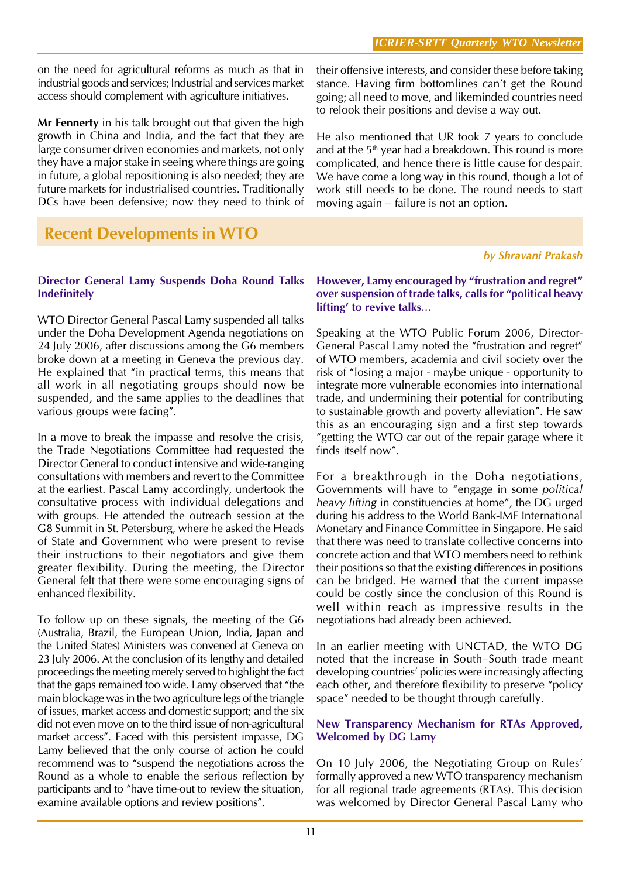on the need for agricultural reforms as much as that in industrial goods and services; Industrial and services market access should complement with agriculture initiatives.

Mr Fennerty in his talk brought out that given the high growth in China and India, and the fact that they are large consumer driven economies and markets, not only they have a major stake in seeing where things are going in future, a global repositioning is also needed; they are future markets for industrialised countries. Traditionally DCs have been defensive; now they need to think of

## Recent Developments in WTO

#### Director General Lamy Suspends Doha Round Talks Indefinitely

WTO Director General Pascal Lamy suspended all talks under the Doha Development Agenda negotiations on 24 July 2006, after discussions among the G6 members broke down at a meeting in Geneva the previous day. He explained that "in practical terms, this means that all work in all negotiating groups should now be suspended, and the same applies to the deadlines that various groups were facing".

In a move to break the impasse and resolve the crisis, the Trade Negotiations Committee had requested the Director General to conduct intensive and wide-ranging consultations with members and revert to the Committee at the earliest. Pascal Lamy accordingly, undertook the consultative process with individual delegations and with groups. He attended the outreach session at the G8 Summit in St. Petersburg, where he asked the Heads of State and Government who were present to revise their instructions to their negotiators and give them greater flexibility. During the meeting, the Director General felt that there were some encouraging signs of enhanced flexibility.

To follow up on these signals, the meeting of the G6 (Australia, Brazil, the European Union, India, Japan and the United States) Ministers was convened at Geneva on 23 July 2006. At the conclusion of its lengthy and detailed proceedings the meeting merely served to highlight the fact that the gaps remained too wide. Lamy observed that "the main blockage was in the two agriculture legs of the triangle of issues, market access and domestic support; and the six did not even move on to the third issue of non-agricultural market access". Faced with this persistent impasse, DG Lamy believed that the only course of action he could recommend was to "suspend the negotiations across the Round as a whole to enable the serious reflection by participants and to "have time-out to review the situation, examine available options and review positions".

their offensive interests, and consider these before taking stance. Having firm bottomlines can't get the Round going; all need to move, and likeminded countries need to relook their positions and devise a way out.

He also mentioned that UR took 7 years to conclude and at the  $5<sup>th</sup>$  year had a breakdown. This round is more complicated, and hence there is little cause for despair. We have come a long way in this round, though a lot of work still needs to be done. The round needs to start moving again – failure is not an option.

#### by Shravani Prakash

However, Lamy encouraged by "frustration and regret" over suspension of trade talks, calls for "political heavy lifting' to revive talks…

Speaking at the WTO Public Forum 2006, Director-General Pascal Lamy noted the "frustration and regret" of WTO members, academia and civil society over the risk of "losing a major - maybe unique - opportunity to integrate more vulnerable economies into international trade, and undermining their potential for contributing to sustainable growth and poverty alleviation". He saw this as an encouraging sign and a first step towards "getting the WTO car out of the repair garage where it finds itself now".

For a breakthrough in the Doha negotiations, Governments will have to "engage in some political heavy lifting in constituencies at home", the DG urged during his address to the World Bank-IMF International Monetary and Finance Committee in Singapore. He said that there was need to translate collective concerns into concrete action and that WTO members need to rethink their positions so that the existing differences in positions can be bridged. He warned that the current impasse could be costly since the conclusion of this Round is well within reach as impressive results in the negotiations had already been achieved.

In an earlier meeting with UNCTAD, the WTO DG noted that the increase in South–South trade meant developing countries' policies were increasingly affecting each other, and therefore flexibility to preserve "policy space" needed to be thought through carefully.

#### New Transparency Mechanism for RTAs Approved, Welcomed by DG Lamy

On 10 July 2006, the Negotiating Group on Rules' formally approved a new WTO transparency mechanism for all regional trade agreements (RTAs). This decision was welcomed by Director General Pascal Lamy who